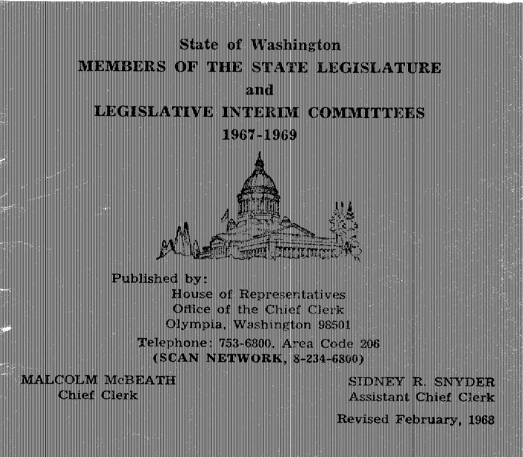# **State of Washington** MEMBERS OF THE STATE LEGISLATURE  $and$ **LEGISLATIVE INTERIM COMMITTEES** 1967-1969



Published by:

**House of Representatives** Office of the Chief Clerk Olympia, Washington 98501 Telephone: 753-6800, Area Code 206 (SCAN NETWORK, 8-234-6800)

**MALCOLM MCBEATH** Chief Clerk

SIDNEY R. SNYDER **Assistant Chief Clerk** 

Revised February, 1968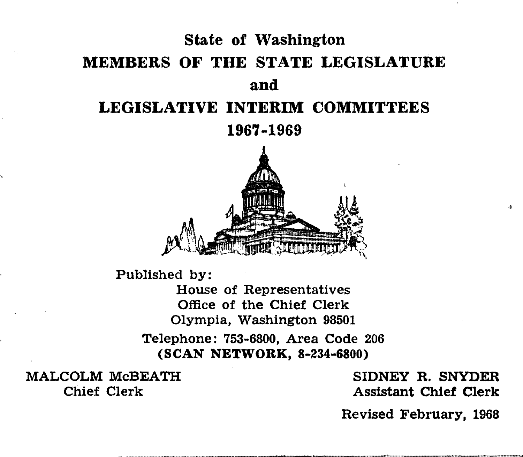# State of Washington MEMBERS OF **THE STATE** LEGISLATURE **and**  LEGISLATIVE **INTERIM** COMMITTEES 1967-1969



Published by:

House of Representatives Office of the Chief Clerk Olympia, Washington 98501 Telephone: 753-6800, Area Code 206 (SCAN NETWORK, 8-234-6800)

MALCOLM McBEATH SIDNEY R. SNYDER<br>Chief Clerk Chief Clerk Assistant Chief Clerk

Chief Clerk Assistant Chief Clerk

Revised February, 1968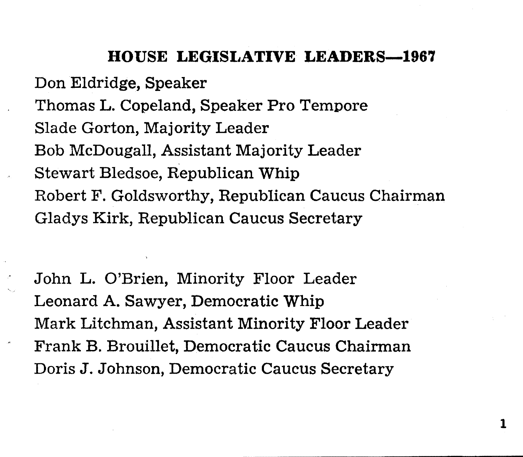# **HOUSE LEGISLATIVE LEADERS-196'7**

Don Eldridge, Speaker Thomas L. Copeland, Speaker Pro Tempore Slade Gorton, Majority Leader Bob McDougall, Assistant Majority Leader Stewart Bledsoe, Republican Whip Robert F. Goldsworthy, Republican Caucus Chairman Gladys Kirk, Republican Caucus Secretary

John L. O'Brien, Minority Floor Leader Leonard A. Sawyer, Democratic Whip Mark Litchman, Assistant Minority Floor Leader Frank B. Brouillet, Democratic Caucus Chairman Doris J. Johnson, Democratic Caucus Secretary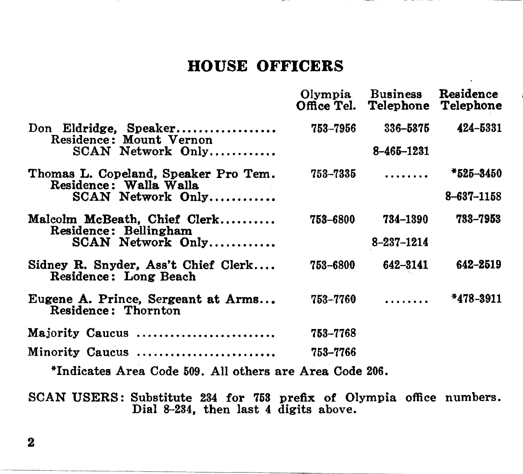# **HOUSE OFFICERS**

|                                                                                                                                     |                   | Olympia Business Residence<br>Office Tel. Telephone Telephone |               |
|-------------------------------------------------------------------------------------------------------------------------------------|-------------------|---------------------------------------------------------------|---------------|
| Don Eldridge. Speaker<br>Residence: Mount Vernon                                                                                    | 753-7956          | 336-5375                                                      | 424-5331      |
| SCAN Network Only                                                                                                                   |                   | 8-465-1231                                                    |               |
| Thomas L. Copeland. Speaker Pro Tem.<br>Residence: Walla Walla                                                                      | 753–7335          | .                                                             | *525-3450     |
| SCAN Network Only                                                                                                                   |                   |                                                               | 8-637-1158    |
| Malcolm McBeath, Chief Clerk<br>Residence: Bellingham                                                                               | 753–6800          | 734-1390                                                      | 733-7953      |
| SCAN Network Only                                                                                                                   |                   | $8 - 237 - 1214$                                              |               |
| Sidney R. Snyder, Ass't Chief Clerk<br>Residence: Long Beach                                                                        | 753-6800          | 642-3141                                                      | 642-2519      |
| Eugene A. Prince, Sergeant at Arms<br>Residence: Thornton                                                                           | 753–7760          | .                                                             | $*478 - 3911$ |
| Majority Caucus                                                                                                                     | 753-7768          |                                                               |               |
| Minority Caucus                                                                                                                     | 753-7766          |                                                               |               |
| $\mathbf{r}$ and $\mathbf{r}$ are $\mathbf{r}$ and $\mathbf{r}$ and $\mathbf{r}$ are $\mathbf{r}$ and $\mathbf{r}$ are $\mathbf{r}$ | $\cdots$ $\cdots$ |                                                               |               |

\*Indicates Area Code 509. All others are Area Code 206.

SCAN USERS: Substitute 234 for 753 prefix of Olympia office numbers. Dial 8-234, then last 4 digits above.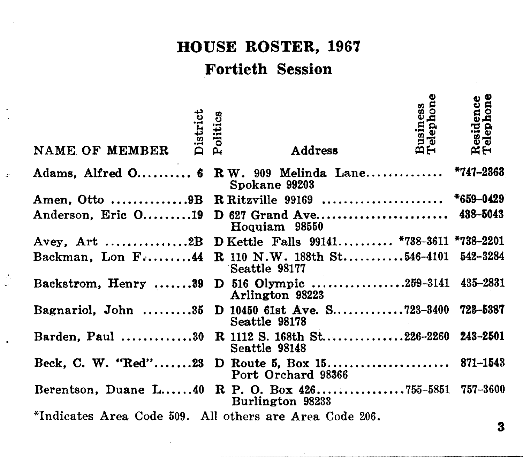# **HOUSE ROSTER, 1967**

# **Fortieth Session**

| District<br>NAME OF MEMBER                              | Politics | Address                                                                | <b>Business</b><br>Telephone | esidence.<br>elephone<br>ฉี∺ |
|---------------------------------------------------------|----------|------------------------------------------------------------------------|------------------------------|------------------------------|
|                                                         |          | Adams, Alfred O 6 R W. 909 Melinda Lane *747-2363<br>Spokane 99203     |                              |                              |
|                                                         |          |                                                                        |                              |                              |
|                                                         |          | Anderson, Eric O19 D 627 Grand Ave<br>Hoquiam 98550                    |                              | 438-5043                     |
|                                                         |          | Avey, Art 2B D Kettle Falls 99141 *738-3611 *738-2201                  |                              |                              |
|                                                         |          | Backman, Lon F44 R 110 N.W. 188th St546-4101<br>Seattle 98177          |                              | 542-3284                     |
|                                                         |          | Backstrom, Henry 39 D 516 Olympic 259-3141 435-2831<br>Arlington 98223 |                              |                              |
|                                                         |          | Bagnariol, John 35 D 10450 61st Ave. S723-3400<br>Seattle 98178        |                              | 723-5387                     |
|                                                         |          | Barden, Paul 30 R 1112 S. 168th St226-2260 243-2501<br>Seattle 98148   |                              |                              |
|                                                         |          | Port Orchard 98366                                                     |                              | 871-1543                     |
|                                                         |          | Berentson, Duane L40 R P. O. Box 426755-5851<br>Burlington 98233       |                              | 757-3600                     |
| *Indicates Area Code 509. All others are Area Code 206. |          |                                                                        |                              |                              |

k,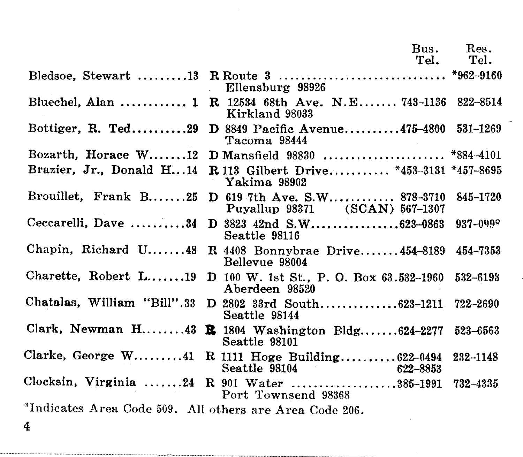|                                                         | Bus.                                                                           | Res.         |
|---------------------------------------------------------|--------------------------------------------------------------------------------|--------------|
|                                                         | Tel.                                                                           | Tel.         |
|                                                         | Ellensburg 98926                                                               |              |
| Bluechel, Alan  1                                       | R 12534 68th Ave. N.E 743-1136 822-8514<br>Kirkland 98033                      |              |
| Bottiger, R. Ted29                                      | D 8849 Pacific Avenue475-4800 531-1269<br>Tacoma 98444                         |              |
|                                                         |                                                                                |              |
| Brazier, Jr., Donald H14                                | R 113 Gilbert Drive *453-3131 *457-8695<br>Yakima 98902                        |              |
| Brouillet, Frank B25                                    | D 619 7th Ave. S.W 878-3710<br>Puyallup 98371 (SCAN) 567-1307                  | 845–1720     |
| Ceccarelli, Dave 34                                     | D 3823 42nd S.W623-0863<br>Seattle 98116                                       | $937 - 0999$ |
| Chapin, Richard $U$ 48                                  | R $4408$ Bonnybrae Drive $454 - 8189$<br>Bellevue 98004                        | 454-7353     |
|                                                         | Charette, Robert L19 D 100 W. 1st St., P. O. Box 63.532-1960<br>Aberdeen 98520 | 532-6193     |
|                                                         | Chatalas, William "Bill".33 D 2802 33rd South623-1211<br>Seattle 98144         | 722-2690     |
|                                                         | Clark, Newman H43 <b>R</b> 1804 Washington Bldg624-2277<br>Seattle 98101       | 523-6563     |
|                                                         | Clarke, George W41 R 1111 Hoge Building 622-0494<br>Seattle 98104<br>622-8853  | 232-1148     |
|                                                         | Clocksin, Virginia 24 R 901 Water 385-1991<br>Port Townsend 98368              | 732-4335     |
| *Indicates Area Code 509. All others are Area Code 206. |                                                                                |              |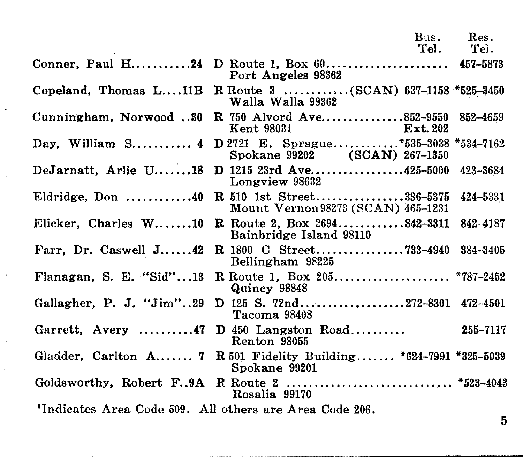# **Bus. Res.** Tel. Tel.

|                                                         | Port Angeles 98362                                                    |          |
|---------------------------------------------------------|-----------------------------------------------------------------------|----------|
| Copeland, Thomas L11B                                   | R Route 3 (SCAN) $637-1158$ *525-3450<br>Walla Walla 99362            |          |
| Cunningham, Norwood 30                                  | R 750 Alvord Ave852-9550<br>Kent 98031<br>Ext. 202                    | 852-4659 |
| Day, William $S$ 4                                      | D 2721 E. Sprague*535-3038 *534-7162<br>Spokane 99202 (SCAN) 267-1350 |          |
| DeJarnatt, Arlie U18                                    | D 1215 23rd Ave425-5000 423-3684<br>Longview 98632                    |          |
| Eldridge, Don $\ldots \ldots \ldots 40$                 | R 510 1st Street336-5375<br>Mount Vernon 98273 (SCAN) 465-1231        | 424-5331 |
| Elicker, Charles W10                                    | R Route 2, Box 2694842-3311 842-4187<br>Bainbridge Island 98110       |          |
| Farr, Dr. Caswell $J_{\dots,142}$                       | R 1800 C Street733-4940 384-3405<br>Bellingham 98225                  |          |
| Flanagan, S. E. "Sid"13                                 | R Route 1, Box 205 *787-2452<br>Quincy 98848                          |          |
| Gallagher, P. J. "Jim"29                                | D 125 S. 72nd272-8301 472-4501<br>Tacoma 98408                        |          |
| Garrett, Avery $\dots\dots47$                           | $D$ 450 Langston Road<br>Renton 98055                                 | 255-7117 |
| Gladder, Carlton A 7                                    | R 501 Fidelity Building *624-7991 *325-5039<br>Spokane 99201          |          |
| Goldsworthy, Robert F9A                                 | R Route 2  *523-4043<br>Rosalia 99170                                 |          |
| *Indicates Area Code 509. All others are Area Code 206. |                                                                       |          |

 $\lambda$ 

 $\bar{\mathbf{x}}$ 

 $\alpha$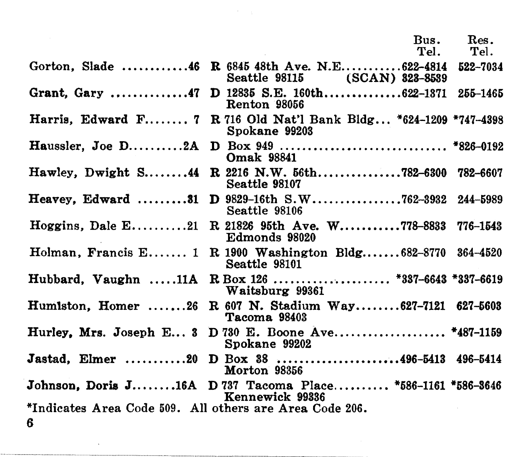| Bus. | Res. |
|------|------|
| Tel. | Tel. |

Gorton, Slade .............46 R 6845 48th Ave. N.E.............622-4814 522-7034<br>Seattle 98115 (SCAN) 823-8589 (SCAN) 823-8539 Grant, Gary ..............47 D 12835 S.E. 160th................622-1371 255-1465 Renton 98056 Harris, Edward F........ 7 R 716 Old Nat'l Bank Bldg... \*624-1209 \*747-4398 Spokane 99203 Haussler, Joe D .......... 2A D Box 949 ....•.•..•..•................. \*826-6192 Omak 98341 Hawley, Dwight S.......44 R 2216 N.W. 56th................782-6300 782-6607 Seattle 98107 Heavey, Edward ......•.. 31 D 9829-16th S.W ••.............• 762-3932 244-6989 Seattle 98106 Hoggins, Dale E..........21 R 21826 95th Ave. W...........778-8833 776-1543 Edmonds 98020 Holman, Francis E....... 1 R 1900 Washington Bldg....... $682 - 8770$   $364 - 4520$ Seattle 98101 Hubbard, Vaughn .....11A R Box 126 ...................... \*337-6643 \*337-6619 Waitsburg 99361 Humlston, Homer ......26 R 607 N. Stadium Way........627-7121 627-5603 Tacoma 98403 Hurley, Mrs. Joseph E... 3 D 730 E. Boone Ave..................... \*487-1159 Spokane 99202 Jastad, Elmer ........... 20 D Box 38 •••.•.•••••..•.•.•.••. 496-5413 496-6414 Morton 98356 Johnson, Doris J.......16A D 737 Tacoma Place.......... \*586-1161 \*586-3646 Kennewick 99336 \*Indicates Area Code 509. All others are Area Code 206. 6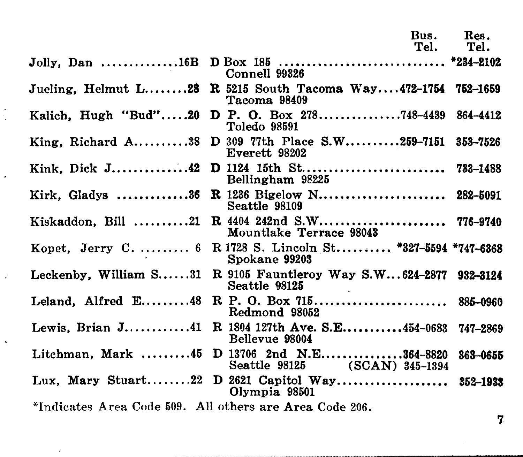|                                                                                      | Bus.<br>Tel. | Res.<br>Tel. |
|--------------------------------------------------------------------------------------|--------------|--------------|
| Connell 99326                                                                        |              |              |
| Jueling, Helmut $L$ 28 R 5215 South Tacoma Way472-1754 752-1659<br>Tacoma 98409      |              |              |
| Kalich, Hugh "Bud"20 D P. O. Box 278748-4439 864-4412<br>Toledo 98591                |              |              |
| King, Richard A38 D 309 77th Place S.W259-7151 353-7526<br>Everett 98202             |              |              |
| Kink, Dick J42<br>Bellingham 98225                                                   |              |              |
| R 1236 Bigelow N 282-5091<br>Kirk, Gladys 36<br>Seattle 98109                        |              |              |
| Kiskaddon, Bill 21<br>Mountlake Terrace 98043                                        |              |              |
| Kopet, Jerry C.  6 R 1728 S. Lincoln St *327-5594 *747-6368<br>Spokane 99203         |              |              |
| Leckenby, William S31<br>R 9105 Fauntleroy Way S.W624-2877 932-3124<br>Seattle 98125 |              |              |
| Leland. Alfred $E$ 48<br>Redmond 98052                                               |              | 885-0960     |
| Lewis, Brian $J$ 41<br>R 1804 127th Ave. S.E454-0683 747-2869<br>Bellevue 98004      |              |              |
| Litchman, Mark 45 D 13706 2nd N.E364-8820<br>Seattle 98125 (SCAN) 345-1394           |              | 363-0655     |
| Olympia 98501                                                                        |              | 352-1933     |
| *Indicates Area Code 509. All others are Area Code 206.                              |              |              |

J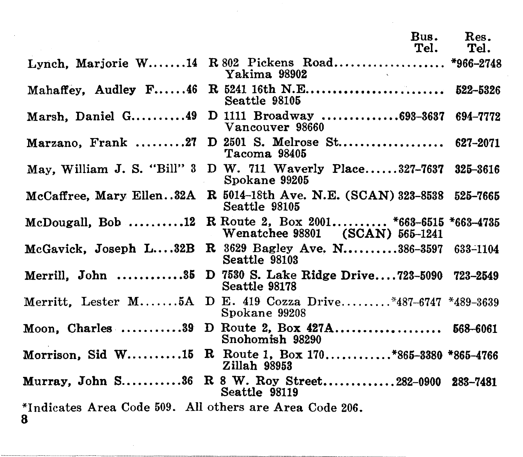|                                                              | Rus.<br>Tel.                                                                 | Res.<br>Tel. |
|--------------------------------------------------------------|------------------------------------------------------------------------------|--------------|
|                                                              | Lynch, Marjorie W14 R 802 Pickens Road *966-2748<br>Yakima 98902             |              |
|                                                              | Mahaffey, Audley F46 R 5241 16th N.E 522-5326<br>Seattle 98105               |              |
| Marsh. Daniel G49                                            | D 1111 Broadway 693-3637<br>Vancouver 98660                                  | 694–7772     |
| Marzano, Frank 27                                            | D 2501 S. Melrose St 627-2071<br>Tacoma 98405                                |              |
| May, William J. S. "Bill" 3                                  | D W. 711 Waverly Place327-7637<br>Spokane 99205                              | 325-3616     |
| McCaffree, Mary Ellen32A                                     | R 5014-18th Ave. N.E. (SCAN) 323-8538 525-7665<br>Seattle 98105              |              |
| McDougall, $Bob$ 12                                          | R Route 2, Box 2001 *663-6515 *663-4735<br>Wenatchee 98801 (SCAN) 565-1241   |              |
| McGavick, Joseph L32B                                        | R 3629 Bagley Ave. N386-3597 633-1104<br>Seattle 98103                       |              |
| Merrill. John $\ldots \ldots \ldots \ldots 35$               | D 7530 S. Lake Ridge Drive723-5090 723-2549<br>Seattle 98178                 |              |
|                                                              | Merritt, Lester M5A D E. 419 Cozza Drive*487-6747 *489-3639<br>Spokane 99208 |              |
|                                                              | Moon, Charles 39 D Route 2, Box 427A 568-6061<br>Snohomish 98290             |              |
|                                                              | Morrison, Sid W15 R Route 1, Box 170*865-3380 *865-4766<br>Zillah 98953      |              |
|                                                              | Murray, John S36 R 8 W. Roy Street282-0900 283-7481<br>Seattle 98119         |              |
| *Indicates Area Code 509. All others are Area Code 206.<br>8 |                                                                              |              |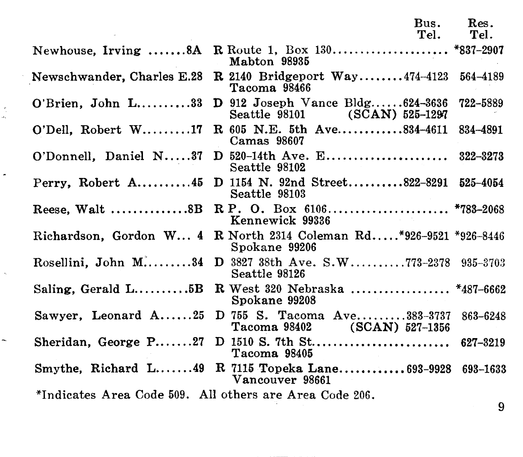|                                                         | Bus.<br>Tel.                                                               | Res.<br>Tel. |
|---------------------------------------------------------|----------------------------------------------------------------------------|--------------|
|                                                         | Mabton 98935                                                               |              |
| Newschwander, Charles E.28                              | <b>R</b> 2140 Bridgeport Way474-4123 564-4189<br>Tacoma 98466              |              |
| $O'Brein$ , John $L$ 33                                 | <b>D</b> 912 Joseph Vance Bldg $624-3636$<br>Seattle 98101 (SCAN) 525-1297 | 722-5889     |
| O'Dell, Robert W17                                      | R 605 N.E. 5th Ave834-4611<br>Camas 98607                                  | 834-4891     |
| O'Donnell, Daniel N37                                   | $D_{520-14th}$ Ave. E<br>Seattle 98102                                     | 322-3273     |
| Perry, Robert A $45$                                    | D 1154 N. 92nd Street822-8291 525-4054<br>Seattle 98103                    |              |
| Reese, Walt $\dots\dots\dots\dots 8B$                   | Kennewick 99336                                                            |              |
| Richardson, Gordon W 4                                  | R North 2314 Coleman Rd*926-9521 *926-8446<br>Spokane 99206                |              |
| Rosellini, John M34                                     | D 3827 38th Ave. S.W773-2378 935-3703<br>Seattle 98126                     |              |
| Saling, Gerald $L$ $5B$                                 | R West 320 Nebraska  *487-6662<br>Spokane 99208                            |              |
| Sawyer, Leonard A25                                     | D 755 S. Tacoma Ave383-3737<br>Tacoma 98402 (SCAN) 527-1356                | 863-6248     |
| Sheridan, George P27                                    | $D$ 1510 S. 7th St<br>Tacoma 98405                                         | 627-3219     |
|                                                         | Smythe, Richard L49 R 7115 Topeka Lane693-9928<br>Vancouver 98661          | 693-1633     |
| *Indicates Area Code 509. All others are Area Code 206. |                                                                            | 9            |

ă

 $\overline{\phantom{a}}$ 

 $\epsilon$ 

 $\overline{a}$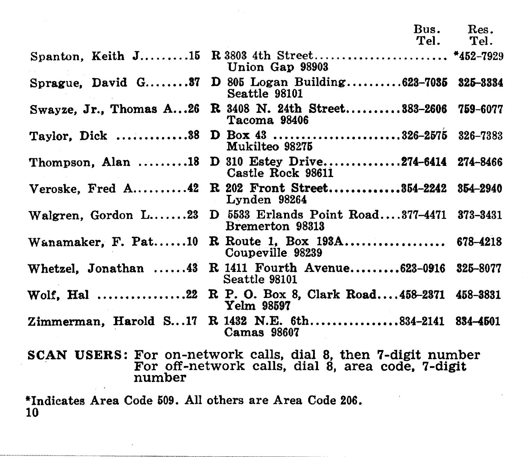Spanton, Keith J.........15 R 3803 4th Street........................... \*452-7929 Sprague, David G........37 D 805 Logan Building..........623-7035 325-3334 Swayze, Jr., Thomas A... 26 R 3408 N. 24th Street.......... 383-2606 759-6077 Taylor, Dick ..............38 D Box 43 ...........................326-2575 326-7383 Thompson, Alan ......•.. 18 D 310 Estey Drive., ............ 274-6414 274-8466 Veroske, Fred A.........42 R 202 Front Street.............354-2242 354-2940 Walgren, Gordon L.......23 D 5533 Erlands Point Road....377-4471 373-3431 Wanamaker, F. Pat......10 R. Route 1, Box 193A................... 678-4218<br>Coupeville 98239 Whetzel, Jonathan ...... 43 Wolf, Hal .................22 R P. O. Box 8, Clark Road....458-2371 458-3831 Zimmerman, Harold S...17 R 1432 N.E. 6th................834-2141 834-4501 Bus. Res.<br>*Te*l. Tel. Tel. Union Gap 98903 Seattle 98101 Tacoma 98406 Mukilteo 98276 Castle Rock 98611 Lynden 98264 Bremerton 98313 R 1411 Fourth Avenue........623-0916 325-8077 Seattle 98101 Yelm 98697 Camas 98607 SCAN USERS: For on-network calls, dial 8, then 7-digit number For off-network calls, dial 8, area code, 7-digit number

\*Indicates Area Code 509. All others are Area Code 206. 10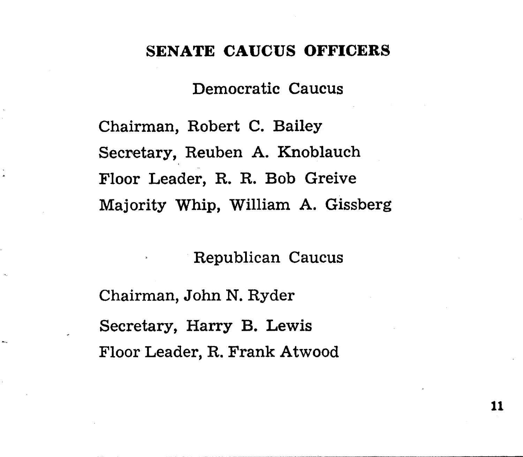# **SENATE** CAUCUS **OFFICERS**

Democratic Caucus

Chairman, Robert C. Bailey Secretary, Reuben A. Knoblauch Floor Leader, R. R. Bob Greive Majority Whip, William A. Gissberg

Republican Caucus

Chairman, John N. Ryder Secretary, Harry B. Lewis Floor Leader, R. Frank Atwood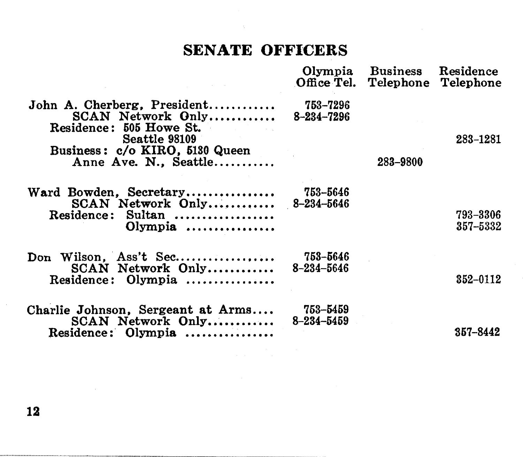# **SENATE OFFICERS**

|                                                                                                                                                         |                              | Olympia Business Residence<br>Office Tel. Telephone Telephone |                      |
|---------------------------------------------------------------------------------------------------------------------------------------------------------|------------------------------|---------------------------------------------------------------|----------------------|
| John A. Cherberg, President<br>SCAN Network Only<br>Residence: 505 Howe St.<br>Seattle 98109<br>Business: c/o KIRO, 5130 Queen<br>Anne Ave. N., Seattle | 753–7296<br>8-234-7296       | 283-9800                                                      | 283-1281             |
| Ward Bowden, Secretary<br>SCAN Network Only 8-234-5646<br>Residence: Sultan<br>$Olympia$                                                                | 753–5646                     |                                                               | 793-3306<br>357–5332 |
| Don Wilson, Ass't Sec<br>SCAN Network Only<br>Residence: Olympia                                                                                        | 753-5646<br>$8 - 234 - 5646$ |                                                               | 352-0112             |
| Charlie Johnson, Sergeant at Arms<br>SCAN Network Only<br>Residence: Olympia                                                                            | 753–5459<br>$8 - 234 - 5459$ |                                                               | 357-8442             |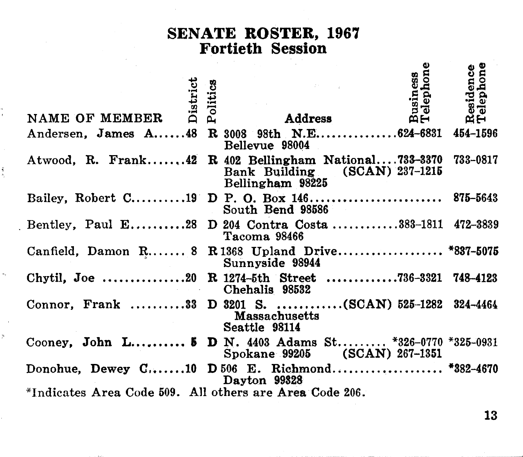# SENATE ROSTER, 1967<br>Fortieth Session

| NAME OF MEMBER                                          | District<br>Politics | Business<br>Telephone<br>Address                                                                                   | esidence<br>elephone<br>œΘ |
|---------------------------------------------------------|----------------------|--------------------------------------------------------------------------------------------------------------------|----------------------------|
|                                                         |                      | Andersen, James A 48 R 3008 98th N.E 624-6831 454-1596<br>Bellevue 98004                                           |                            |
|                                                         |                      | Atwood, R. Frank42 R 402 Bellingham National733-3370 733-0817<br>Bank Building (SCAN) 237-1215<br>Bellingham 98225 |                            |
|                                                         |                      | South Bend 98586                                                                                                   |                            |
|                                                         |                      | Bentley, Paul E28 D 204 Contra Costa 383-1811 472-3839<br>Tacoma 98466                                             |                            |
|                                                         |                      | Canfield, Damon R 8 R 1368 Upland Drive *837-5075<br>Sunnyside 98944                                               |                            |
|                                                         |                      | Chytil, Joe 20 R 1274-5th Street 736-3321 748-4123<br>Chehalis 98532                                               |                            |
|                                                         |                      | Connor, Frank 33 D 3201 S. (SCAN) 525-1282 324-4464<br>Massachusetts<br>Seattle 98114                              |                            |
|                                                         |                      | Cooney, John L 5 D N. 4403 Adams St *326-0770 *325-0931<br>Spokane 99205 (SCAN) 267-1351                           |                            |
|                                                         |                      | Donohue, Dewey C10 D 506 E. Richmond *382-4670<br>Dayton 99328                                                     |                            |
| *Indicates Area Code 509. All others are Area Code 206. |                      |                                                                                                                    |                            |

š

X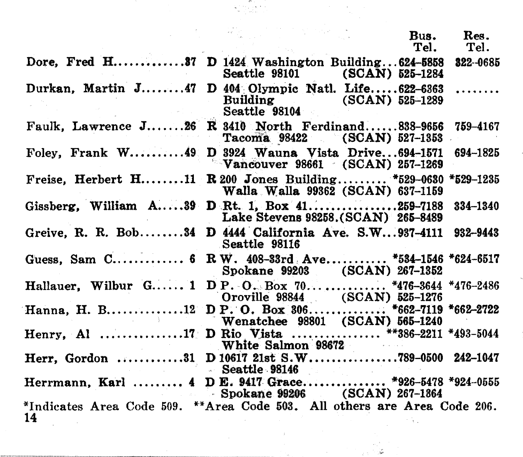|                                                                                |                                           | Bus.<br>Tel. | Res.<br>Tel. |
|--------------------------------------------------------------------------------|-------------------------------------------|--------------|--------------|
| Dore. Fred H 37 D 1424 Washington Building624-5858                             | Seattle 98101 (SCAN) 525-1284             |              | 322-0685     |
| Durkan, Martin J47 D 404 Olympic Natl. Life622-6363                            | Building (SCAN) 525-1289<br>Seattle 98104 |              | .            |
| Faulk, Lawrence J26 R 3410 North Ferdinand838-9656 759-4167                    | Tacoma 98422 (SCAN) 527-1353              |              |              |
| Foley, Frank W49 D 3924 Wauna Vista Drive694-1571 694-1825                     | $\sim$ Vancouver 98661 (SCAN) 257-1269    |              |              |
| Freise, Herbert H11 R 200 Jones Building *529-0630 *529-1235                   | Walla Walla 99362 (SCAN) 637-1159         |              |              |
| Gissberg, William A39 D Rt. 1, Box 41259-7188                                  | Lake Stevens 98258. (SCAN) 265-8489       |              | 334-1340     |
| Greive, R. R. Bob34 D 4444 California Ave. S.W937-4111 932-9443                | Seattle 98116                             |              |              |
| Guess, Sam C 6 R W. 408-33rd Ave *534-1546 *624-6517                           | Spokane 99203 (SCAN) 267-1352             |              |              |
| Hallauer, Wilbur G 1 D P. O., Box 70 *476-3644 *476-2486                       | Oroville 98844 (SCAN) 525-1276            |              |              |
| Hanna, H. B12 D P. O. Box 306 *662-7119 *662-2722                              | Wenatchee 98801 (SCAN) 565-1240           |              |              |
| Henry. Al 17 D Rio Vista  **386-2211 *493-5044                                 | White Salmon 98672                        |              |              |
| Herr, Gordon 31 D 10617 21st S.W789-0500 242-1047                              | Seattle 98146                             |              |              |
| Herrmann, Karl  4 D E. 9417 Grace *926-5478 *924-0555                          | Spokane 99206 (SCAN) 267-1364             |              |              |
| *Indicates Area Code 509. **Area Code 503. All others are Area Code 206.<br>14 |                                           |              |              |

 $\sim 10^{10}$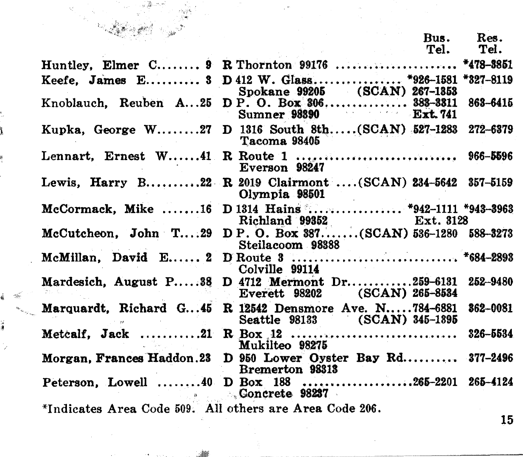| - 三重 木形<br>the Company of Company of Services and Services and Services and Services and Services and Services and Services and Services and Services and Services and Services and Services and Services and Services and Services and S |                                                                                      |           |
|-------------------------------------------------------------------------------------------------------------------------------------------------------------------------------------------------------------------------------------------|--------------------------------------------------------------------------------------|-----------|
|                                                                                                                                                                                                                                           |                                                                                      | Bus. Res. |
|                                                                                                                                                                                                                                           | Tel.                                                                                 | Tel.      |
|                                                                                                                                                                                                                                           | Huntley, Elmer C 9 R Thornton 99176  *478-3851                                       |           |
|                                                                                                                                                                                                                                           | Keefe. James E 3 D 412 W. Glass *926-1581 *327-8119<br>Spokane 99205 (SCAN) 267-1353 |           |
| Knoblauch, Reuben A25                                                                                                                                                                                                                     | D P. O. Box 306 383-3311<br>Sumner 98390 Ext. 741                                    | 863-6415  |
|                                                                                                                                                                                                                                           | Kupka, George W27 D 1316 South 8th(SCAN) 527-1283 272-6379<br>Tacoma 98405           |           |
|                                                                                                                                                                                                                                           | Lennart, Ernest W41 R Route 1  966–5596<br>Everson 98247                             |           |
|                                                                                                                                                                                                                                           | Lewis, Harry B22 R 2019 Clairmont (SCAN) 234-5642 357-5159<br>Olympia 98501          |           |
|                                                                                                                                                                                                                                           | McCormack, Mike 16 D 1314 Hains  *942-1111 *943-3963                                 |           |
|                                                                                                                                                                                                                                           | Ext. 3128<br>McCutcheon, John T29 D P.O. Box 387(SCAN) 536-1280 588-3273             |           |
|                                                                                                                                                                                                                                           | Colville 99114                                                                       |           |
| Mardesich, August P38                                                                                                                                                                                                                     | D 4712 Mermont Dr259-6131<br>Everett 98202 (SCAN) 265-8534                           | 252-9480  |
| Marquardt, Richard G45                                                                                                                                                                                                                    | R 12542 Densmore Ave. N784-6881<br>Seattle 98133 (SCAN) 345-1895                     | 862-0081  |
| participation of the                                                                                                                                                                                                                      | Mukilteo 98275                                                                       | 326-5534  |
|                                                                                                                                                                                                                                           | Morgan, Frances Haddon.23 D 950 Lower Oyster Bay Rd 377-2496<br>Bremerton 98313      |           |
|                                                                                                                                                                                                                                           | Peterson, Lowell 40 D Box 188 265-2201 265-4124<br>Concrete 98237                    |           |
| *Indicates Area Code 509. All others are Area Code 206.                                                                                                                                                                                   |                                                                                      |           |
|                                                                                                                                                                                                                                           |                                                                                      | 15        |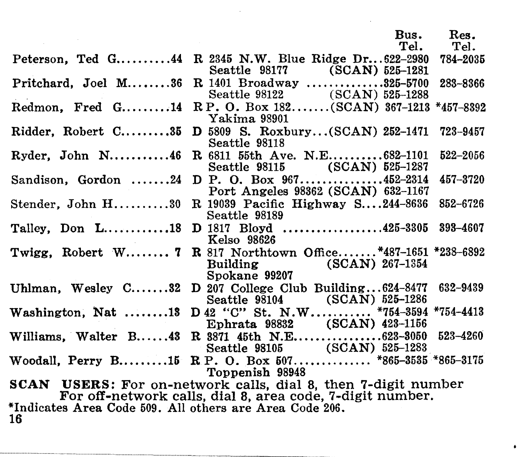|                                                                                                                                   |                                                                                                          | Bus.<br>Tel. | Res.<br>Tel. |  |
|-----------------------------------------------------------------------------------------------------------------------------------|----------------------------------------------------------------------------------------------------------|--------------|--------------|--|
|                                                                                                                                   | Peterson, Ted G44 R 2345 N.W. Blue Ridge Dr 622-2980<br>Seattle 98177 (SCAN) 525-1281                    |              | 784-2035     |  |
|                                                                                                                                   | Pritchard, Joel M36 R 1401 Broadway 325-5700<br>Seattle 98122 (SCAN) 525-1288                            |              | 283-8366     |  |
|                                                                                                                                   | Redmon. Fred G14 RP. O. Box 182(SCAN) 367-1213 *457-8392<br>Yakima 98901                                 |              |              |  |
|                                                                                                                                   | Ridder, Robert C35 D 5809 S. Roxbury(SCAN) 252-1471<br>Seattle 98118                                     |              | 723-9457     |  |
| $Ryder. John N \ldots .46$                                                                                                        | R 6811 55th Ave. N.E682-1101<br>Seattle 98115 (SCAN) 525-1287                                            |              | 522-2056     |  |
|                                                                                                                                   | Sandison, Gordon 24 D P. O. Box 967452-2314<br>Port Angeles 98362 (SCAN) 632-1167                        |              | 457-3720     |  |
|                                                                                                                                   | Stender, John H30 R 19039 Pacific Highway S244-8636<br>Seattle 98189                                     |              | 852-6726     |  |
|                                                                                                                                   | Talley, Don L18 D 1817 Bloyd 425-3305 393-4607<br>Kelso 98626                                            |              |              |  |
|                                                                                                                                   | Twigg, Robert W 7 R 817 Northtown Office*487-1651 *238-6892<br>Building (SCAN) 267-1354<br>Spokane 99207 |              |              |  |
|                                                                                                                                   | Uhlman, Wesley C32 D 207 College Club Building $624-8477$ $632-9439$<br>Seattle 98104 (SCAN) 525-1286    |              |              |  |
|                                                                                                                                   | Washington, Nat 13 D 42 "C" St. N.W *754-3594 *754-4413<br>Ephrata 98832 (SCAN) 423-1156                 |              |              |  |
|                                                                                                                                   | Williams, Walter B43 R 3871 45th N.E623-3050<br>Seattle 98105 (SCAN) 525-1283                            |              | 523-4260     |  |
|                                                                                                                                   | Woodall, Perry B15 R P. O. Box 507 *865-3535 *865-3175<br>Toppenish 98948                                |              |              |  |
| <b>SCAN</b> USERS: For on-network calls, dial 8, then 7-digit number<br>For off-network calls, dial 8, area code, 7-digit number. |                                                                                                          |              |              |  |
| *Indicates Area Code 509. All others are Area Code 206.<br>16                                                                     |                                                                                                          |              |              |  |

 $\bullet$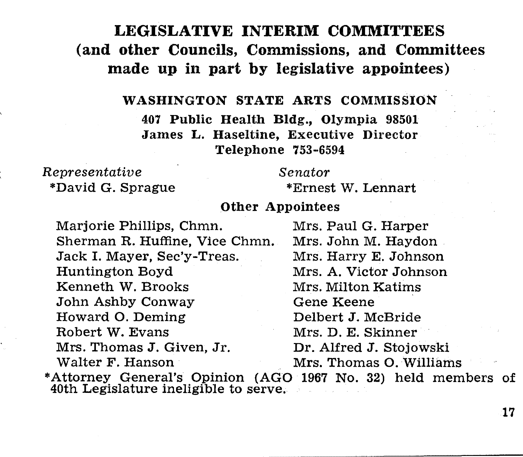# LEGISLATIVE INTERIM COMMITTEES (and other Councils, Commissions, and Committees made up in part by legislative appointees)

## WASHINGTON STATE ARTS COMMISSION

407 Public Health Bldg., Olympia 98501 James L. Haseltine, Executive Director Telephone 753-6594

# *Representative*

\*David G. Sprague

*Senator* 

\*Ernest *V'l.* Lennart

## Other Appointees

Marjorie Phillips, Chmn. Mrs. Paul G. Harper Sherman R. Huffine, Vice Chmn. Mrs. John M. Haydon Jack I. Mayer, Sec'y-Treas. Huntington Boyd Mrs. A. Victor Johnson Kenneth W. Brooks Mrs. Milton Katims John Ashby Conway Gene Keene<br>Howard O. Deming Belbert J. McBride Howard O. Deming<br>Robert W. Evans Mrs. Thomas J. Given, Jr. Dr. Alfred J. Stojowski<br>Walter F. Hanson Mrs. Thomas O. William

Mrs. D. E. Skinner Mrs. Thomas O. Williams

\*Attorney General's Opinion (AGO 1967 No. 32) held members of 40th Legislature ineligible to serve.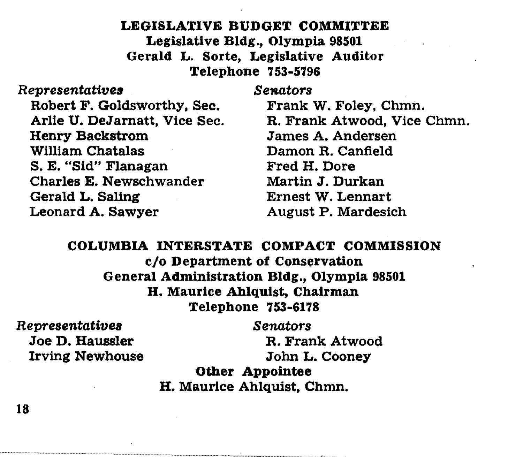# LEGISLATIVE BUDGET COMMITTEE Legislative Bldg., Olympia 98501 Gerald L. Sorte, Legislative Auditor Telephone 753-5796

# Representatives *Senators*

Robert F. Goldsworthy, Sec. Arlie U. DeJarnatt, Vice Sec. Henry Backstrom William Chatalas S. E. "Sid" Flanagan Charles E. Newschwander Gerald L. Saling Leonard A. Sawyer

Frank W. Foley, Chmn. R. Frank Atwood, Vice Chmn. James A. Andersen Damon R. Canfield Fred H. Dore Martin J. Durkan Ernest W. Lennart August P. Mardesich

COLUMBIA INTERSTATE COMPACT COMMISSION c/o Department of Conservation General Administration Bldg., Olympia 98501 H. Maurice Ahlquist, Chairman Telephone 753-6178

Representatives Joe D. Haussler Irving Newhouse *Senators*  R. Frank Atwood John L. Cooney

Other Appointee H. Maurice Ahlquist, Chmn.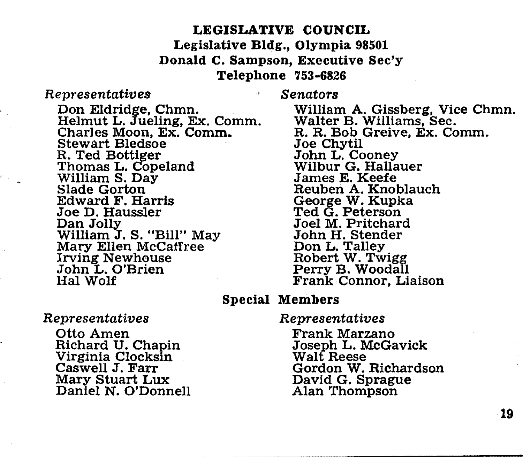# LEGISLATIVE COUNCIL Legislative Bldg., Olympia 98501 Donald C. Sampson, Executive Sec'y Telephone 753-6826

# *Representatives*

*Senators* 

Don Eldridge, Chmn.<br>Helmut L. Jueling, Ex. Comm. Charles Moon, Ex. Comm. Stewart Bledsoe<br>R. Ted Bottiger Thomas L. Copeland<br>William S. Day<br>Slade Gorton Edward F. Harris Joe D. Haussler William J. S. "Bill" May<br>Mary Ellen McCaffree Irving Newhouse John L. O'Brien Hal Wolf

# Special Members

## *Representatives*

Otto Amen Richard U. Chapin Virginia Clocksin Caswell J. Farr Mary Stuart Lux Daniel N. O'Donnell

William A. Gissberg, Vice Chmn. Walter B. Williams, Sec. R. R. Bob Greive, Ex. Comm. John L. Cooney<br>Wilbur G. Hallauer James E. Keefe Reuben A. Knoblauch George W. Kupka Ted G. Peterson Joel M. Pritchard John H. Stender<br>Don L. Talley Robert W. Twigg<br>Perry B. Woodall Frank Connor, Liaison

*Representatives* 

Frank Marzano Joseph L. McGavick Walt Reese Gordon W. Richardson David G. Sprague Alan Thompson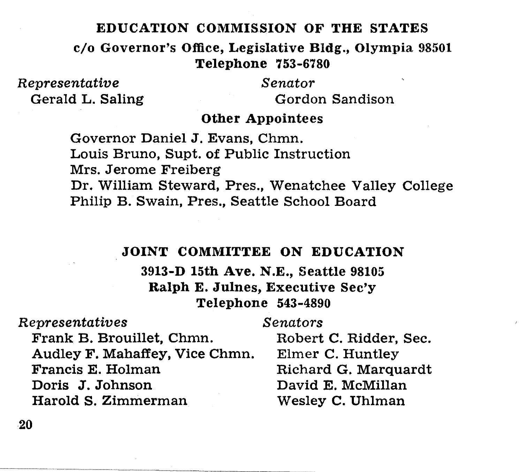# EDUCATION COMMISSION OF THE STATES

c/o Governor's Office, Legislative Bldg., Olympia 98501 Telephone 753-6780

*Representative*  Gerald L. Saling *Senator*  Gordon Sandison

# Other Appointees

Governor Daniel J. Evans, Chmn. Louis Bruno, Supt. of Public Instruction Mrs. Jerome Freiberg Dr. William Steward, Pres., Wenatchee Valley College Philip B. Swain, Pres., Seattle School Board

# JOINT COMMITTEE ON EDUCATION

3913-D 15th Ave. N.E., Seattle 98105 Ralph E. Julnes, Executive Sec'y Telephone 543-4890

| Representatives                | Senators               |
|--------------------------------|------------------------|
| Frank B. Brouillet, Chmn.      | Robert C. Ridder, Sec. |
| Audley F. Mahaffey, Vice Chmn. | Elmer C. Huntley       |
| Francis E. Holman              | Richard G. Marquardt   |
| Doris J. Johnson               | David E. McMillan      |
| Harold S. Zimmerman            | Wesley C. Uhlman       |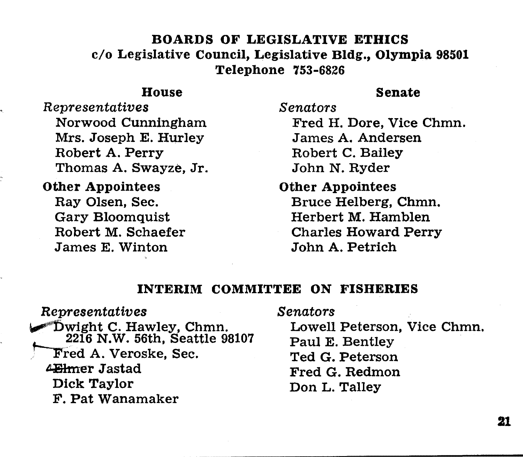# BOARDS OF LEGISLATIVE ETHICS c/o Legislative Council, Legislative Bldg., Olympia 98501 Telephone 753-6826

# House

# Senate

*Representatives*  Norwood Cunningham Mrs. Joseph E. Hurley Robert A. Perry Thomas A. Swayze, Jr.

Other Appointees Ray Olsen, Sec. Gary Bloomquist Robert M. Schaefer James E. Winton

*Senators*  Fred H. Dore, Vice Chmn. James A. Andersen Robert C. Bailey John N. Ryder

Other Appointees Bruce Helberg, Chmn. Herbert M. Hamblen Charles Howard Perry John A. Petrich

# INTERIM COMMITTEE ON FISHERIES

*Senators* 

*Representatives*  "Dwight C. Hawley, Chmn. 2216 N.W. 56th, Seattle 98107 Fred A. Veroske, Sec. 4Ehmer Jastad Dick Taylor F. Pat Wanamaker

Lowell Peterson, Vice Chmn. Paul E. Bentley Ted G. Peterson Fred G. Redmon Don L. Talley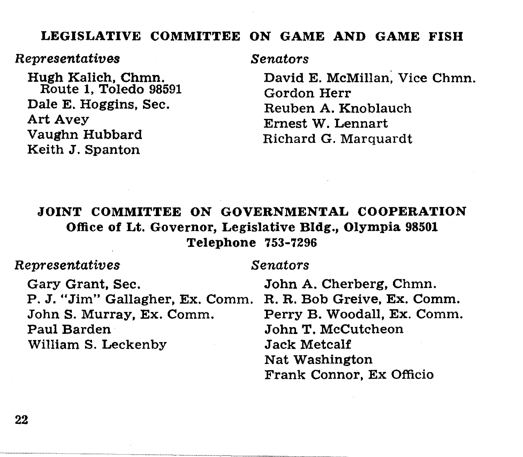# LEGISLATIVE COMMITTEE ON GAME AND GAME FISH

## *Representatives*

Hugh Kalich, Chmn. Route 1, Toledo 98591 Dale E. Haggins, Sec. Art Avey Vaughn Hubbard Keith J. Spanton

*Senators* 

David E. McMillan; Vice Chmn. Gordon Herr Reuben A. Knoblauch Emest W. Lennart Richard G. Marquardt

# JOINT COMMITTEE ON GOVERNMENTAL COOPERATION Office of Lt. Governor, Legislative Bldg., Olympia 98501 Telephone 753-7296

# *Representatives*

## *Senators*

Gary Grant, Sec. P. J. "Jim" Gallagher, Ex. Comm. JohnS. Murray, Ex. Comm. Paul Barden William S. Leckenby

John A. Cherberg, Chmn. R. R. Bob Greive, Ex. Comm. Perry B. Woodall, Ex. Comm. John T. McCutcheon Jack Metcalf Nat Washington Frank Connor, Ex Officio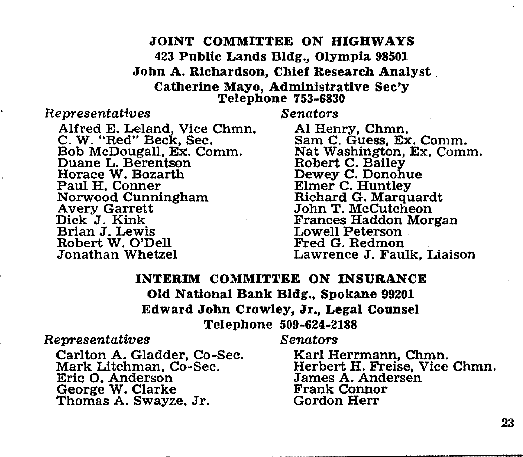# JOINT COMMITTEE ON HIGHWAYS 423 Public Lands Bldg, Olympia 98501 John A. Richardson, Chief Research Analyst Catherine Mayo, Administrative Sec'y Telephone 753-6830

## *Representatives*

Alfred E. Leland, Vice Chmn. C. W. "Red" Beck, Sec. Bob McDougall, Ex. Comm. Duane L. Berentson Horace W. Bozarth Paul H. Conner Norwood Cunningham Avery Garrett Dick J. Kink Brian J. Lewis Robert W. O'Dell Jonathan Whetzel

*Senators* 

AI Henry, Chmn. Sam C. Guess, Ex. Comm. Nat Washington, Ex. Comm. Dewey C. Donohue<br>Elmer C. Huntley Richard G. Marquardt<br>John T. McCutcheon Frances Haddon Morgan Lowell Peterson Fred G. Redmon Lawrence J. Faulk, Liaison

# INTERIM COMMITTEE ON INSURANCE Old National Bank Bldg., Spokane 99201 Edward John Crowley, Jr., Legal Counsel Telephone 509-624-2188

## *Representatives*

Carlton A. Gladder, Co-Sec. Mark Litchman, Co-Sec. Eric 0. Anderson George W. Clarke Thomas A. Swayze, Jr.

*Senators* 

Karl Herrmann, Chmn. Herbert H. Freise, Vice Chmn. James A. Andersen Frank Connor Gordon Herr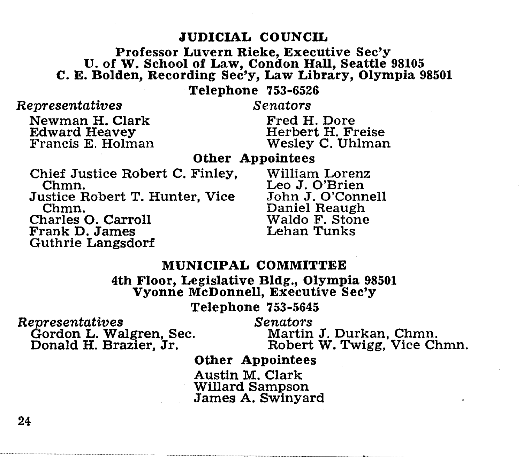# JUDICIAL COUNCIL

# Professor Luvern Rieke, Executive Sec'y U. of w. School of Law, Condon Hall, Seattle 98105 C. E. Bolden, Recording Sec'y, Law Library, Olympia 98501

Telephone 753-6526

*Representatives* 

*Senators* 

Newman H. Clark Francis E. Holman

Guthrie Langsdorf

Fred H. Dore Herbert H. Freise Wesley C. Uhlman

Other Appointees

Chief Justice Robert C. Finley, William Lorenz<br>Chmn. Leo J. O'Brien .Justice Robert T. Hunter, Vice .John .J. O'Connell Chmn. Daniel Reaugh Charles 0. Carroll Waldo F. Stone Frank D. James

Leo J. O'Brien<br>John J. O'Connell

# MUNICIPAL COMMITTEE

4th Floor, Legislative Bldg., Olympia 98501 Vyonne McDonnell, Executive Sec'y

Telephone 753-5645

*Representatives Senators*  Gordon L. Walgren, Sec. Donald H. Brazier, Jr.

Martin J. Durkan, Chmn. Robert W. Twigg, Vice Chmn.

Other Appointees

Austin M. Clark Willard Sampson James A. Swinyard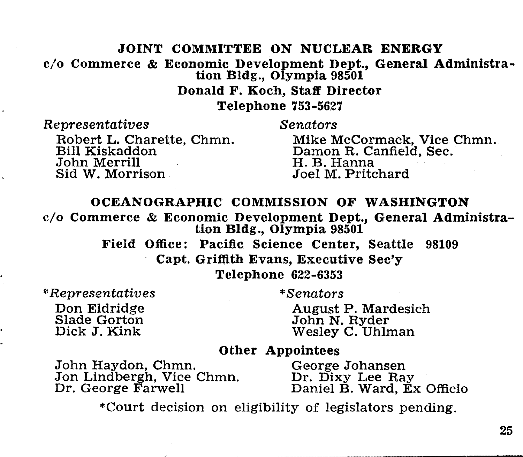# JOINT COMMITTEE ON NUCLEAR ENERGY c/o Commerce & Economic Development Dept., General Administration Bldg., Olympia 98501 Donald F. Koch, Staff Director Telephone 753-5627

*Representatives* 

*Senators* 

Robert L. Charette, Chmn. Bill Kiskaddon John Merrill Sid W. Morrison

Mike McCormack, Vice Chmn. Damon R. Canfield, Sec. H. B. Hanna Joel M. Pritchard

## OCEANOGRAPHIC COMMISSION OF WASHINGTON

c/o Commerce & Economic Development Dept., General Administration Bldg., Olympia 98501

> Field Office: Pacific Science Center, Seattle 98109 Capt. Griftlth Evans, Executive Sec'y Telephone 622-6353

• *Representatives*  Don Eldridge Slade Gorton Dick J. Kink

*\*Senators* 

August P. Mardesich Wesley C. Uhlman

# Other Appointees

John Haydon, Chmn. Jon Lindbergh, Vice Chmn. Dr. George Farwell

George Johansen<br>Dr. Dixy Lee Ray Daniel B. Ward, Ex Officio

•court decision on eligibility of legislators pending.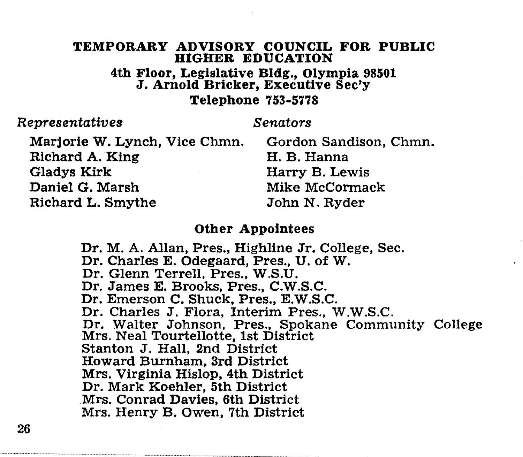# TEMPORARY ADVISORY COUNCIL FOR PUBLIC HIGHER EDUCATION

4th Floor, Legislative Bldg., Olympia 98501 J. Arnold Bricker, Executive Sec'y

# Telephone 753-5778

# *Representatives*

# *Senators*

Marjorie W. Lynch, Vice Chmn. Richard A. King Gladys Kirk Daniel G. Marsh Richard L. Smythe

Gordon Sandison, Chmn. H. B. Hanna Harry B. Lewis Mike McCormack John N. Ryder

# Other Appointees

Dr. M. A. Allan, Pres., Highline Jr. College, Sec. Dr. Charles E. Odegaard, Pres., U. of W. Dr. Glenn Terrell, Pres., W.S.U. Dr. James E. Brooks, Pres., C.W.S.C. Dr. Emerson C. Shuck, Pres., E.W.S.C. Dr. Charles J. Flora, Interim Pres., W.W.S.C. Dr. Walter Johnson, Pres., Spokane Community College Mrs. Neal Tourtellotte, 1st District Stanton J. Hall, 2nd District Howard Burnham, 3rd District Mrs. Virginia Hislop, 4th District Dr. Mark Koehler, 5th District Mrs. Conrad Davies, 6th District Mrs. Henry B. Owen, 7th District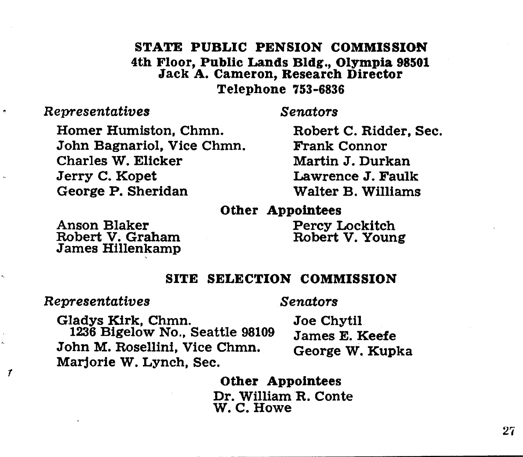# STATE PUBLIC PENSION COMMISSION 4th Floor, Public Lands Bldg., Olympia 98501 Jack A. Cameron, Research Director Telephone 753-6836

# *Representatives*

.

 $\boldsymbol{r}$ 

*Senators* 

Homer Humiston, Chmn. John Bagnariol, Vice Chmn. Charles W. Elicker Jerry C. Kopet George P. Sheridan

Robert C. Ridder, Sec. Frank Connor Martin J. Durkan Lawrence J. Faulk Walter B. Williams

# Other Appointees

Anson Blaker Robert v, Graham James Hlllenkamp Percy Lockitch Robert V. Young

# SITE SELECTION COMMISSION

*Representatives* 

*Senators* 

Gladys Kirk, Chmn. 1236 Bigelow No., Seattle 98109 John M. Rosellini, Vice Chmn. Marjorie W. Lynch, Sec.

Joe Chytil James E. Keefe George W. Kupka

## Other Appointees

Dr. William R. Conte W.C.Howe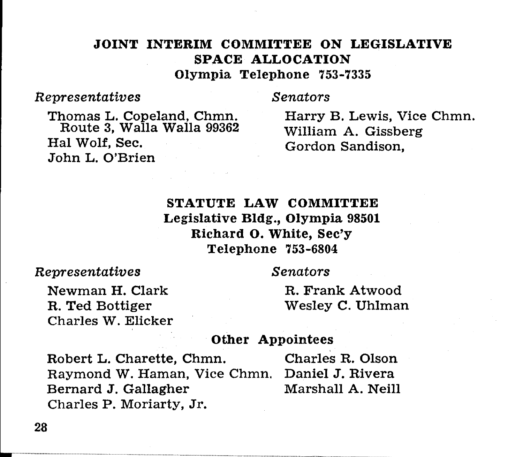# JOINT INTERIM COMMITTEE ON LEGISLATIVE SPACE ALLOCATION Olympia Telephone 753-7335

# *Representatives*

*Senators* 

Thomas L. Copeland, Chmn. Route 3, Walla Walla 99362 Hal Wolf, Sec. John L. O'Brien

Harry B. Lewis, Vice Chmn. William A. Gissberg Gordon Sandison,

# STATUTE LAW COMMITTEE Legislative Bldg., Olympia 98501 Richard 0. White, Sec'y Telephone 753-6804

*Representatives* 

*Senators* 

Newman H. Clark R. Ted Bottiger Charles W. Elicker R. Frank Atwood Wesley C. Uhlman

# Other Appointees

Robert L. Charette, Chmn. Charles R. Olson Raymond W. Haman, Vice Chmn. Daniel J. Rivera Bernard J. Gallagher Marshall A. Neill Charles P. Moriarty, Jr.